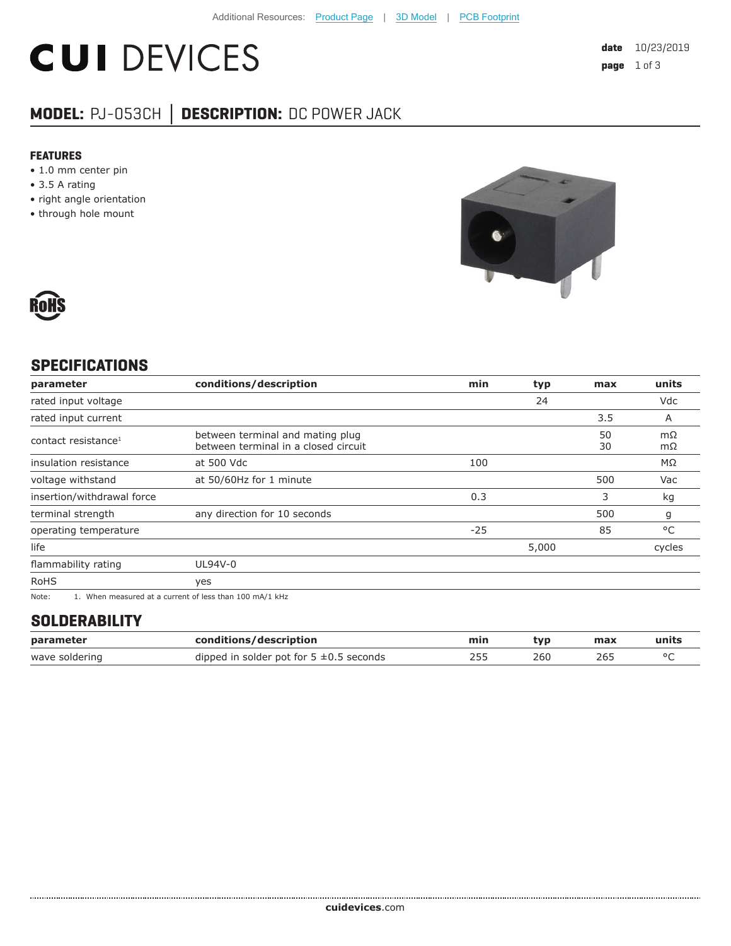# **CUI DEVICES**

### **MODEL:** PJ-053CH **│ DESCRIPTION:** DC POWER JACK

#### **FEATURES**

- 1.0 mm center pin
- 3.5 A rating
- right angle orientation
- through hole mount





#### **SPECIFICATIONS**

| parameter                       | conditions/description                                                                                                                                                                                                              | min   | typ   | max      | units    |
|---------------------------------|-------------------------------------------------------------------------------------------------------------------------------------------------------------------------------------------------------------------------------------|-------|-------|----------|----------|
| rated input voltage             |                                                                                                                                                                                                                                     |       | 24    |          | Vdc      |
| rated input current             |                                                                                                                                                                                                                                     |       |       | 3.5      | A        |
| contact resistance <sup>1</sup> | between terminal and mating plug<br>between terminal in a closed circuit                                                                                                                                                            |       |       | 50<br>30 | mΩ<br>mΩ |
| insulation resistance           | at 500 Vdc                                                                                                                                                                                                                          | 100   |       |          | ΜΩ       |
| voltage withstand               | at 50/60Hz for 1 minute                                                                                                                                                                                                             |       |       | 500      | Vac      |
| insertion/withdrawal force      |                                                                                                                                                                                                                                     | 0.3   |       | 3        | kg       |
| terminal strength               | any direction for 10 seconds                                                                                                                                                                                                        |       |       | 500      | g        |
| operating temperature           |                                                                                                                                                                                                                                     | $-25$ |       | 85       | °C       |
| life                            |                                                                                                                                                                                                                                     |       | 5,000 |          | cycles   |
| flammability rating             | UL94V-0                                                                                                                                                                                                                             |       |       |          |          |
| <b>RoHS</b>                     | yes                                                                                                                                                                                                                                 |       |       |          |          |
| $\mathbf{A}$                    | $\overline{a}$ , and the contract of the contract of the contract of the contract of the contract of the contract of the contract of the contract of the contract of the contract of the contract of the contract of the contract o |       |       |          |          |

Note: 1. When measured at a current of less than 100 mA/1 kHz

#### **SOLDERABILITY**

| parameter      | conditions/description                       | min | tvp | max | units |
|----------------|----------------------------------------------|-----|-----|-----|-------|
| wave soldering | dipped in solder pot for $5 \pm 0.5$ seconds |     | 260 | 26! |       |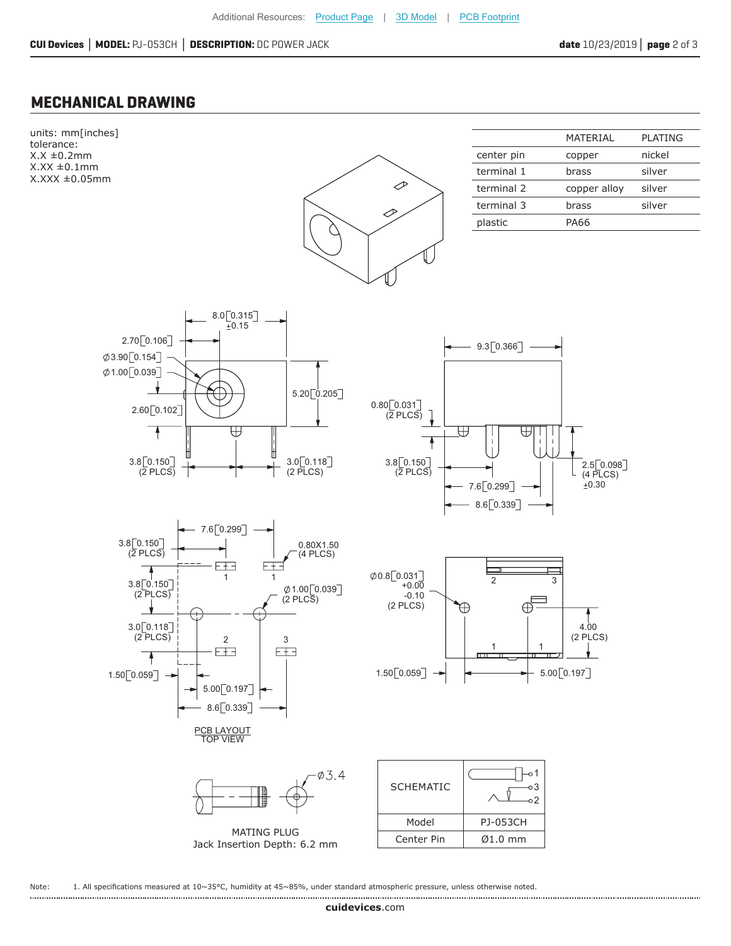#### **MECHANICAL DRAWING**



Note: 1. All specifications measured at 10~35°C, humidity at 45~85%, under standard atmospheric pressure, unless otherwise noted.